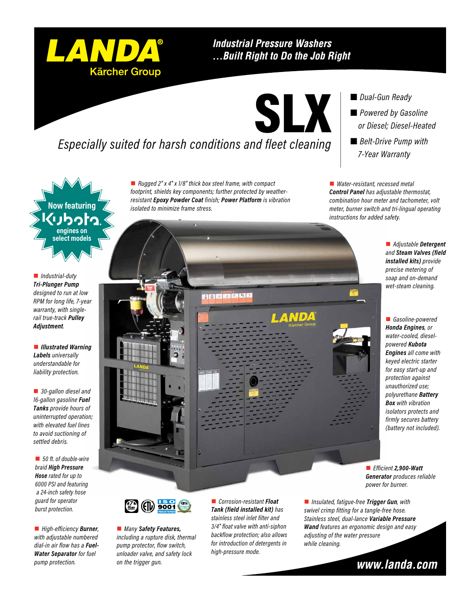### **Industrial Pressure Washers** ... Built Right to Do the Job Right

# *Especially suited for harsh conditions and fleet cleaning*

■ *Rugged 2" x 4" x 1/8" thick box steel frame, with compact footprint, shields key components; further protected by weatherresistant Epoxy Powder Coat finish; Power Platform is vibration isolated to minimize frame stress.*

HALT BELDE

 *Dual-Gun Ready Powered by Gasoline or Diesel; Diesel-Heated* ■ *Belt-Drive Pump with 7-Year Warranty*

■ *Water-resistant, recessed metal Control Panel has adjustable thermostat, combination hour meter and tachometer, volt meter, burner switch and tri-lingual operating instructions for added safety.*

> ■ *Adjustable* Detergent *and Steam Valves (field installed kits) provide precise metering of soap and on-demand wet-steam cleaning.*

**n** Gasoline-powered *Honda Engines, or water-cooled, dieselpowered Kubota Engines all come with keyed electric starter for easy start-up and protection against unauthorized use; polyurethane Battery Box with vibration isolators protects and firmly secures battery (battery not included).*

n *Efficient 2,900-Watt Generator produces reliable power for burner.*

■ *Insulated, fatigue-free Trigger Gun, with swivel crimp fitting for a tangle-free hose. Stainless steel, dual-lance Variable Pressure Wand features an ergonomic design and easy adjusting of the water pressure while cleaning.*

www.landa.com

**Now featuring engines on select models**

n *Industrial-duty Tri-Plunger Pump designed to run at low RPM for long life, 7-year warranty, with singlerail true-track Pulley Adjustment.*

**n** *Illustrated Warning Labels universally understandable for liability protection.*

■ 30-gallon diesel and *16-gallon gasoline Fuel Tanks provide hours of uninterrupted operation; with elevated fuel lines to avoid suctioning of settled debris.*

■ 50 ft. of double-wire *braid High Pressure Hose rated for up to 6000 PSI and featuring a 24-inch safety hose guard for operator burst protection.*

■ *High-efficiency* **Burner**, *with adjustable numbered dial-in air flow has a Fuel-Water Separator for fuel pump protection.*



■ *Many Safety Features*, *including a rupture disk, thermal pump protector, flow switch, unloader valve, and safety lock on the trigger gun.* 

n *Corrosion-resistant Float Tank (field installed kit) has stainless steel inlet filter and 3/4" float valve with anti-siphon backflow protection; also allows for introduction of detergents in high-pressure mode.*